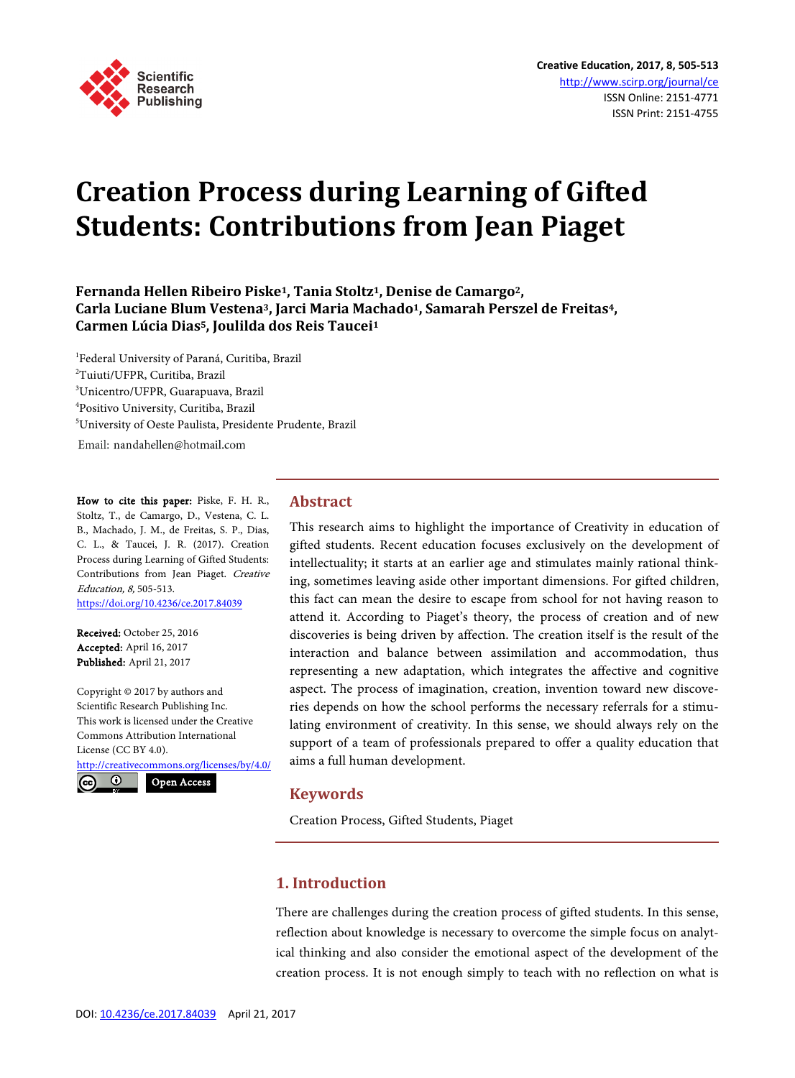

# **Creation Process during Learning of Gifted Students: Contributions from Jean Piaget**

**Fernanda Hellen Ribeiro Piske1, Tania Stoltz1, Denise de Camargo2, Carla Luciane Blum Vestena3, Jarci Maria Machado1, Samarah Perszel de Freitas4, Carmen Lúcia Dias5, Joulilda dos Reis Taucei1**

<sup>1</sup>Federal University of Paraná, Curitiba, Brazil Tuiuti/UFPR, Curitiba, Brazil Unicentro/UFPR, Guarapuava, Brazil Positivo University, Curitiba, Brazil University of Oeste Paulista, Presidente Prudente, Brazil Email: nandahellen@hotmail.com

How to cite this paper: Piske, F. H. R., Stoltz, T., de Camargo, D., Vestena, C. L. B., Machado, J. M., de Freitas, S. P., Dias, C. L., & Taucei, J. R. (2017). Creation Process during Learning of Gifted Students: Contributions from Jean Piaget. Creative Education, 8, 505-513. <https://doi.org/10.4236/ce.2017.84039>

Received: October 25, 2016 Accepted: April 16, 2017 Published: April 21, 2017

Copyright © 2017 by authors and Scientific Research Publishing Inc. This work is licensed under the Creative Commons Attribution International License (CC BY 4.0).

<http://creativecommons.org/licenses/by/4.0/>  $(c<sub>c</sub>)$  $\odot$ Open Access

# **Abstract**

This research aims to highlight the importance of Creativity in education of gifted students. Recent education focuses exclusively on the development of intellectuality; it starts at an earlier age and stimulates mainly rational thinking, sometimes leaving aside other important dimensions. For gifted children, this fact can mean the desire to escape from school for not having reason to attend it. According to Piaget's theory, the process of creation and of new discoveries is being driven by affection. The creation itself is the result of the interaction and balance between assimilation and accommodation, thus representing a new adaptation, which integrates the affective and cognitive aspect. The process of imagination, creation, invention toward new discoveries depends on how the school performs the necessary referrals for a stimulating environment of creativity. In this sense, we should always rely on the support of a team of professionals prepared to offer a quality education that aims a full human development.

## **Keywords**

Creation Process, Gifted Students, Piaget

## **1. Introduction**

There are challenges during the creation process of gifted students. In this sense, reflection about knowledge is necessary to overcome the simple focus on analytical thinking and also consider the emotional aspect of the development of the creation process. It is not enough simply to teach with no reflection on what is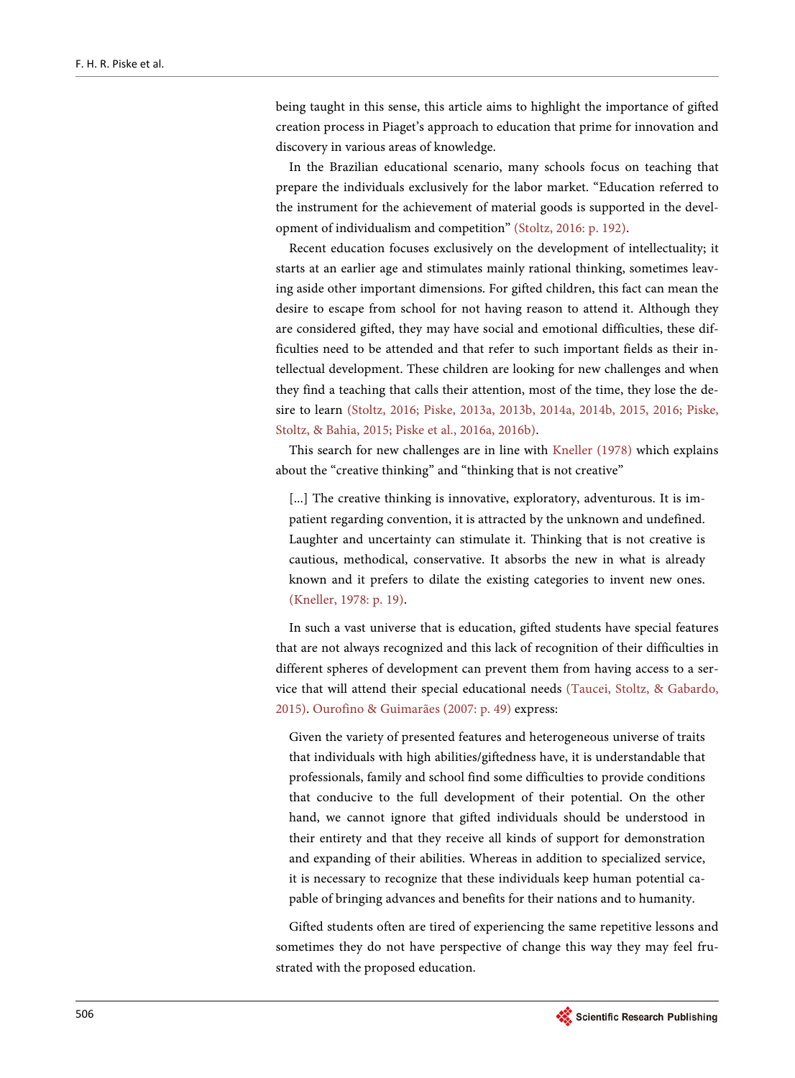being taught in this sense, this article aims to highlight the importance of gifted creation process in Piaget's approach to education that prime for innovation and discovery in various areas of knowledge.

In the Brazilian educational scenario, many schools focus on teaching that prepare the individuals exclusively for the labor market. "Education referred to the instrument for the achievement of material goods is supported in the development of individualism and competition" [\(Stoltz, 2016:](#page-8-0) p. 192).

Recent education focuses exclusively on the development of intellectuality; it starts at an earlier age and stimulates mainly rational thinking, sometimes leaving aside other important dimensions. For gifted children, this fact can mean the desire to escape from school for not having reason to attend it. Although they are considered gifted, they may have social and emotional difficulties, these difficulties need to be attended and that refer to such important fields as their intellectual development. These children are looking for new challenges and when they find a teaching that calls their attention, most of the time, they lose the desire to learn [\(Stoltz, 2016;](#page-8-0) [Piske, 2013a, 2013b, 2014a, 2014b, 2015, 2016;](#page-7-0) [Piske,](#page-7-1)  Stoltz, [& Bahia, 2015;](#page-7-1) Piske et al., [2016a, 2016b\).](#page-7-1)

This search for new challenges are in line with [Kneller \(1978\)](#page-6-0) which explains about the "creative thinking" and "thinking that is not creative"

[...] The creative thinking is innovative, exploratory, adventurous. It is impatient regarding convention, it is attracted by the unknown and undefined. Laughter and uncertainty can stimulate it. Thinking that is not creative is cautious, methodical, conservative. It absorbs the new in what is already known and it prefers to dilate the existing categories to invent new ones. [\(Kneller, 1978:](#page-6-0) p. 19).

In such a vast universe that is education, gifted students have special features that are not always recognized and this lack of recognition of their difficulties in different spheres of development can prevent them from having access to a service that will attend their special educational needs [\(Taucei, Stoltz,](#page-8-1) & Gabardo, [2015\).](#page-8-1) Ourofino & [Guimarães \(2007:](#page-6-1) p. 49) express:

Given the variety of presented features and heterogeneous universe of traits that individuals with high abilities/giftedness have, it is understandable that professionals, family and school find some difficulties to provide conditions that conducive to the full development of their potential. On the other hand, we cannot ignore that gifted individuals should be understood in their entirety and that they receive all kinds of support for demonstration and expanding of their abilities. Whereas in addition to specialized service, it is necessary to recognize that these individuals keep human potential capable of bringing advances and benefits for their nations and to humanity.

Gifted students often are tired of experiencing the same repetitive lessons and sometimes they do not have perspective of change this way they may feel frustrated with the proposed education.

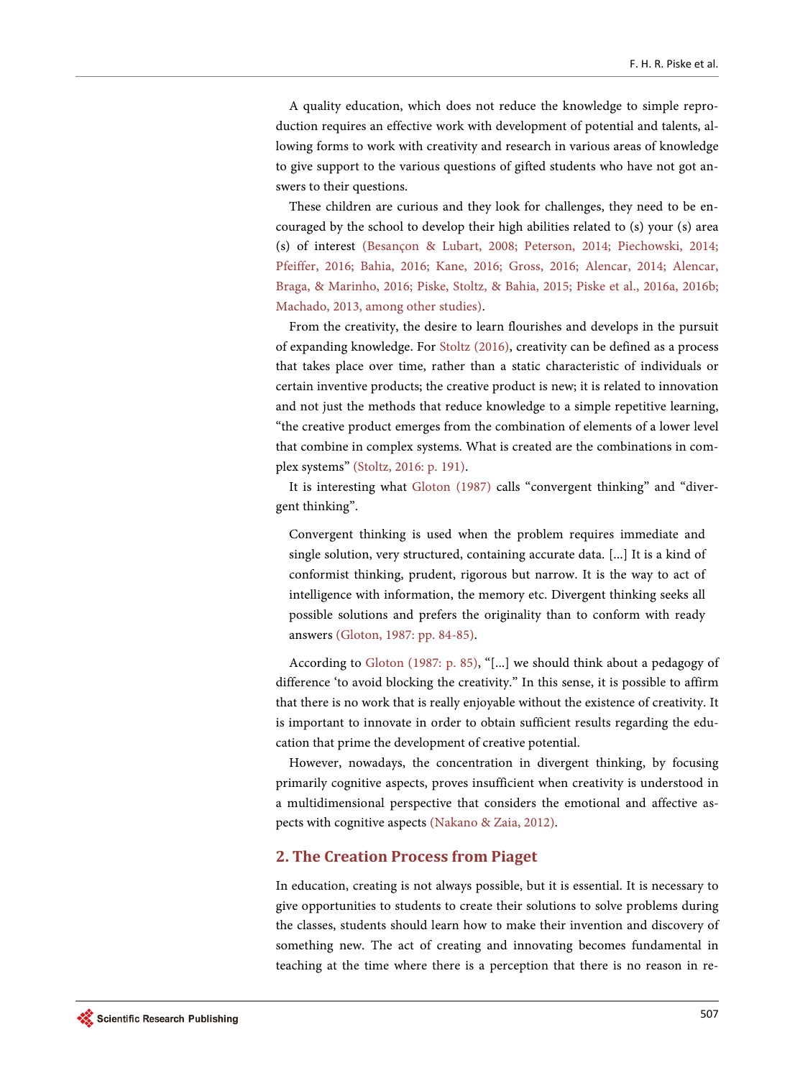A quality education, which does not reduce the knowledge to simple reproduction requires an effective work with development of potential and talents, allowing forms to work with creativity and research in various areas of knowledge to give support to the various questions of gifted students who have not got answers to their questions.

These children are curious and they look for challenges, they need to be encouraged by the school to develop their high abilities related to (s) your (s) area (s) of interest (Besançon & [Lubart, 2008;](#page-5-0) [Peterson,](#page-6-2) 2014; [Piechowski, 2014;](#page-7-2) [Pfeiffer, 2016;](#page-6-3) [Bahia, 2016;](#page-6-3) [Kane, 2016;](#page-6-4) [Gross, 2016;](#page-6-5) [Alencar, 2014;](#page-5-1) [Alencar,](#page-5-2)  Braga, & [Marinho, 2016; P](#page-5-2)iske, Stoltz, [& Bahia, 2015;](#page-5-2) [Piske et al., 2016a, 2016b;](#page-7-3) Machado, 2013, [among other studies\).](#page-6-6) 

From the creativity, the desire to learn flourishes and develops in the pursuit of expanding knowledge. For [Stoltz \(2016\),](#page-8-0) creativity can be defined as a process that takes place over time, rather than a static characteristic of individuals or certain inventive products; the creative product is new; it is related to innovation and not just the methods that reduce knowledge to a simple repetitive learning, "the creative product emerges from the combination of elements of a lower level that combine in complex systems. What is created are the combinations in complex systems" [\(Stoltz, 2016:](#page-8-0) p. 191).

It is interesting what [Gloton \(1987\)](#page-6-7) calls "convergent thinking" and "divergent thinking".

Convergent thinking is used when the problem requires immediate and single solution, very structured, containing accurate data. [...] It is a kind of conformist thinking, prudent, rigorous but narrow. It is the way to act of intelligence with information, the memory etc. Divergent thinking seeks all possible solutions and prefers the originality than to conform with ready answers [\(Gloton, 1987:](#page-6-7) pp. 84-85).

According to [Gloton \(1987:](#page-6-7) p. 85), "[...] we should think about a pedagogy of difference 'to avoid blocking the creativity." In this sense, it is possible to affirm that there is no work that is really enjoyable without the existence of creativity. It is important to innovate in order to obtain sufficient results regarding the education that prime the development of creative potential.

However, nowadays, the concentration in divergent thinking, by focusing primarily cognitive aspects, proves insufficient when creativity is understood in a multidimensional perspective that considers the emotional and affective aspects with cognitive aspects (Nakano & [Zaia, 2012\).](#page-6-8)

#### **2. The Creation Process from Piaget**

In education, creating is not always possible, but it is essential. It is necessary to give opportunities to students to create their solutions to solve problems during the classes, students should learn how to make their invention and discovery of something new. The act of creating and innovating becomes fundamental in teaching at the time where there is a perception that there is no reason in re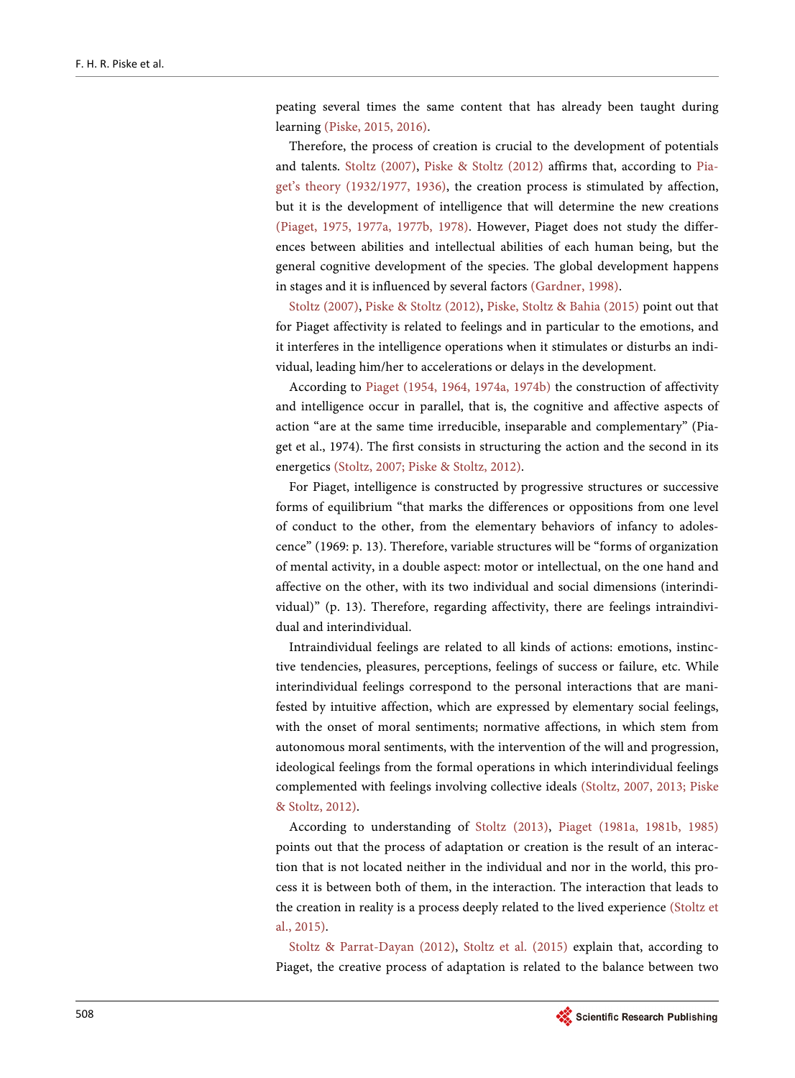peating several times the same content that has already been taught during learning [\(Piske, 2015, 2016\).](#page-7-4) 

Therefore, the process of creation is crucial to the development of potentials and talents. [Stoltz \(2007\),](#page-7-5) Piske [& Stoltz \(2012\)](#page-7-6) affirms that, according to [Pia](#page-6-9)[get's theory \(1932/1977, 1936\),](#page-6-9) the creation process is stimulated by affection, but it is the development of intelligence that will determine the new creations [\(Piaget, 1975, 1977a, 1977b, 1978\).](#page-6-10) However, Piaget does not study the differences between abilities and intellectual abilities of each human being, but the general cognitive development of the species. The global development happens in stages and it is influenced by several factors [\(Gardner, 1998\).](#page-6-11)

[Stoltz \(2007\),](#page-7-5) Piske [& Stoltz \(2012\),](#page-7-6) [Piske, Stoltz & Bahia \(2015\)](#page-7-1) point out that for Piaget affectivity is related to feelings and in particular to the emotions, and it interferes in the intelligence operations when it stimulates or disturbs an individual, leading him/her to accelerations or delays in the development.

According to [Piaget \(1954, 1964, 1974a, 1974b\)](#page-6-12) the construction of affectivity and intelligence occur in parallel, that is, the cognitive and affective aspects of action "are at the same time irreducible, inseparable and complementary" (Piaget et al., 1974). The first consists in structuring the action and the second in its energetics [\(Stoltz, 2007;](#page-7-5) Piske & [Stoltz, 2012\).](#page-7-6)

For Piaget, intelligence is constructed by progressive structures or successive forms of equilibrium "that marks the differences or oppositions from one level of conduct to the other, from the elementary behaviors of infancy to adolescence" (1969: p. 13). Therefore, variable structures will be "forms of organization of mental activity, in a double aspect: motor or intellectual, on the one hand and affective on the other, with its two individual and social dimensions (interindividual)" (p. 13). Therefore, regarding affectivity, there are feelings intraindividual and interindividual.

Intraindividual feelings are related to all kinds of actions: emotions, instinctive tendencies, pleasures, perceptions, feelings of success or failure, etc. While interindividual feelings correspond to the personal interactions that are manifested by intuitive affection, which are expressed by elementary social feelings, with the onset of moral sentiments; normative affections, in which stem from autonomous moral sentiments, with the intervention of the will and progression, ideological feelings from the formal operations in which interindividual feelings complemented with feelings involving collective ideals (Stoltz, [2007, 2013;](#page-7-5) [Piske](#page-7-6) [& Stoltz, 2012\).](#page-7-6)

According to understanding of [Stoltz \(2013\),](#page-8-2) [Piaget \(1981a, 1981b, 1985\)](#page-7-7) points out that the process of adaptation or creation is the result of an interaction that is not located neither in the individual and nor in the world, this process it is between both of them, in the interaction. The interaction that leads to the creation in reality is a process deeply related to the lived experience [\(Stoltz et](#page-8-3)  [al., 2015\).](#page-8-3)

Stoltz & [Parrat-Dayan \(2012\),](#page-8-4) [Stoltz et al. \(2015\)](#page-8-3) explain that, according to Piaget, the creative process of adaptation is related to the balance between two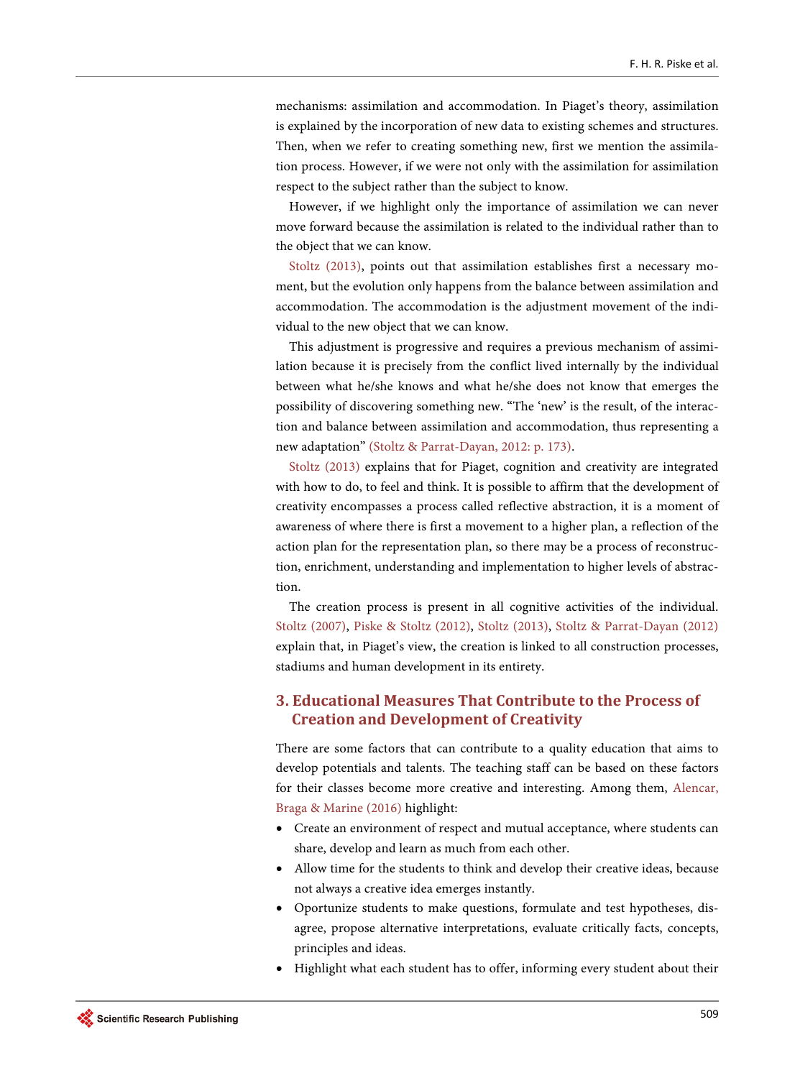mechanisms: assimilation and accommodation. In Piaget's theory, assimilation is explained by the incorporation of new data to existing schemes and structures. Then, when we refer to creating something new, first we mention the assimilation process. However, if we were not only with the assimilation for assimilation respect to the subject rather than the subject to know.

However, if we highlight only the importance of assimilation we can never move forward because the assimilation is related to the individual rather than to the object that we can know.

[Stoltz \(2013\),](#page-8-2) points out that assimilation establishes first a necessary moment, but the evolution only happens from the balance between assimilation and accommodation. The accommodation is the adjustment movement of the individual to the new object that we can know.

This adjustment is progressive and requires a previous mechanism of assimilation because it is precisely from the conflict lived internally by the individual between what he/she knows and what he/she does not know that emerges the possibility of discovering something new. "The 'new' is the result, of the interaction and balance between assimilation and accommodation, thus representing a new adaptation" (Stoltz & [Parrat-Dayan, 2012:](#page-8-4) p. 173).

[Stoltz \(2013\)](#page-8-2) explains that for Piaget, cognition and creativity are integrated with how to do, to feel and think. It is possible to affirm that the development of creativity encompasses a process called reflective abstraction, it is a moment of awareness of where there is first a movement to a higher plan, a reflection of the action plan for the representation plan, so there may be a process of reconstruction, enrichment, understanding and implementation to higher levels of abstraction.

The creation process is present in all cognitive activities of the individual. [Stoltz \(2007\),](#page-7-5) Piske [& Stoltz \(2012\),](#page-7-6) [Stoltz \(2013\),](#page-8-2) Stoltz & [Parrat-Dayan \(2012\)](#page-8-4) explain that, in Piaget's view, the creation is linked to all construction processes, stadiums and human development in its entirety.

# **3. Educational Measures That Contribute to the Process of Creation and Development of Creativity**

There are some factors that can contribute to a quality education that aims to develop potentials and talents. The teaching staff can be based on these factors for their classes become more creative and interesting. Among them, [Alencar,](#page-5-2)  [Braga & Marine \(2016\)](#page-5-2) highlight:

- Create an environment of respect and mutual acceptance, where students can share, develop and learn as much from each other.
- Allow time for the students to think and develop their creative ideas, because not always a creative idea emerges instantly.
- Oportunize students to make questions, formulate and test hypotheses, disagree, propose alternative interpretations, evaluate critically facts, concepts, principles and ideas.
- Highlight what each student has to offer, informing every student about their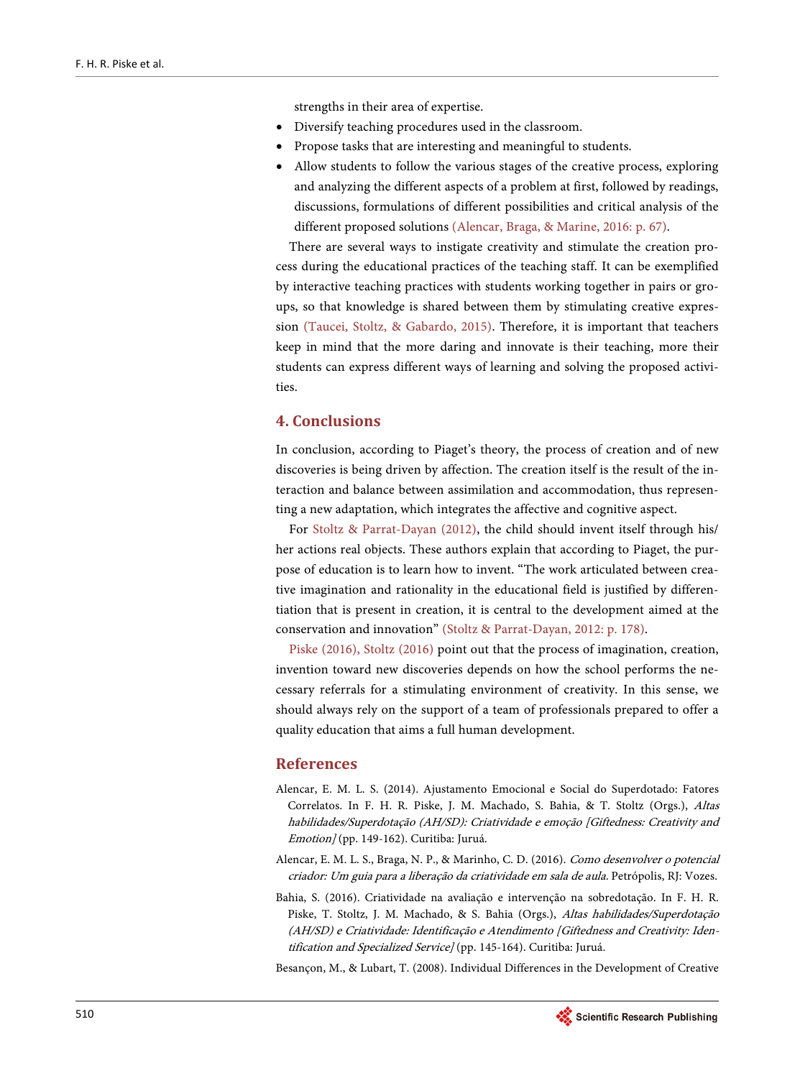strengths in their area of expertise.

- Diversify teaching procedures used in the classroom.
- Propose tasks that are interesting and meaningful to students.
- Allow students to follow the various stages of the creative process, exploring and analyzing the different aspects of a problem at first, followed by readings, discussions, formulations of different possibilities and critical analysis of the different proposed solutions [\(Alencar, Braga,](#page-5-2) & Marine, 2016: p. 67).

There are several ways to instigate creativity and stimulate the creation process during the educational practices of the teaching staff. It can be exemplified by interactive teaching practices with students working together in pairs or groups, so that knowledge is shared between them by stimulating creative expression (Taucei, Stoltz, & [Gabardo, 2015\).](#page-8-1) Therefore, it is important that teachers keep in mind that the more daring and innovate is their teaching, more their students can express different ways of learning and solving the proposed activities.

#### **4. Conclusions**

In conclusion, according to Piaget's theory, the process of creation and of new discoveries is being driven by affection. The creation itself is the result of the interaction and balance between assimilation and accommodation, thus representing a new adaptation, which integrates the affective and cognitive aspect.

For Stoltz & [Parrat-Dayan \(2012\),](#page-8-4) the child should invent itself through his/ her actions real objects. These authors explain that according to Piaget, the purpose of education is to learn how to invent. "The work articulated between creative imagination and rationality in the educational field is justified by differentiation that is present in creation, it is central to the development aimed at the conservation and innovation" (Stoltz & [Parrat-Dayan, 2012:](#page-8-4) p. 178).

[Piske \(2016\),](#page-7-8) [Stoltz \(2016\)](#page-8-0) point out that the process of imagination, creation, invention toward new discoveries depends on how the school performs the necessary referrals for a stimulating environment of creativity. In this sense, we should always rely on the support of a team of professionals prepared to offer a quality education that aims a full human development.

#### **References**

- <span id="page-5-1"></span>Alencar, E. M. L. S. (2014). Ajustamento Emocional e Social do Superdotado: Fatores Correlatos. In F. H. R. Piske, J. M. Machado, S. Bahia, & T. Stoltz (Orgs.), Altas habilidades/Superdotação (AH/SD): Criatividade e emoção [Giftedness: Creativity and Emotion] (pp. 149-162). Curitiba: Juruá.
- <span id="page-5-2"></span>Alencar, E. M. L. S., Braga, N. P., & Marinho, C. D. (2016). Como desenvolver o potencial criador: Um guia para a liberação da criatividade em sala de aula. Petrópolis, RJ: Vozes.
- Bahia, S. (2016). Criatividade na avaliação e intervenção na sobredotação. In F. H. R. Piske, T. Stoltz, J. M. Machado, & S. Bahia (Orgs.), Altas habilidades/Superdotação (AH/SD) e Criatividade: Identificação e Atendimento [Giftedness and Creativity: Identification and Specialized Service] (pp. 145-164). Curitiba: Juruá.

<span id="page-5-0"></span>Besançon, M., & Lubart, T. (2008). Individual Differences in the Development of Creative

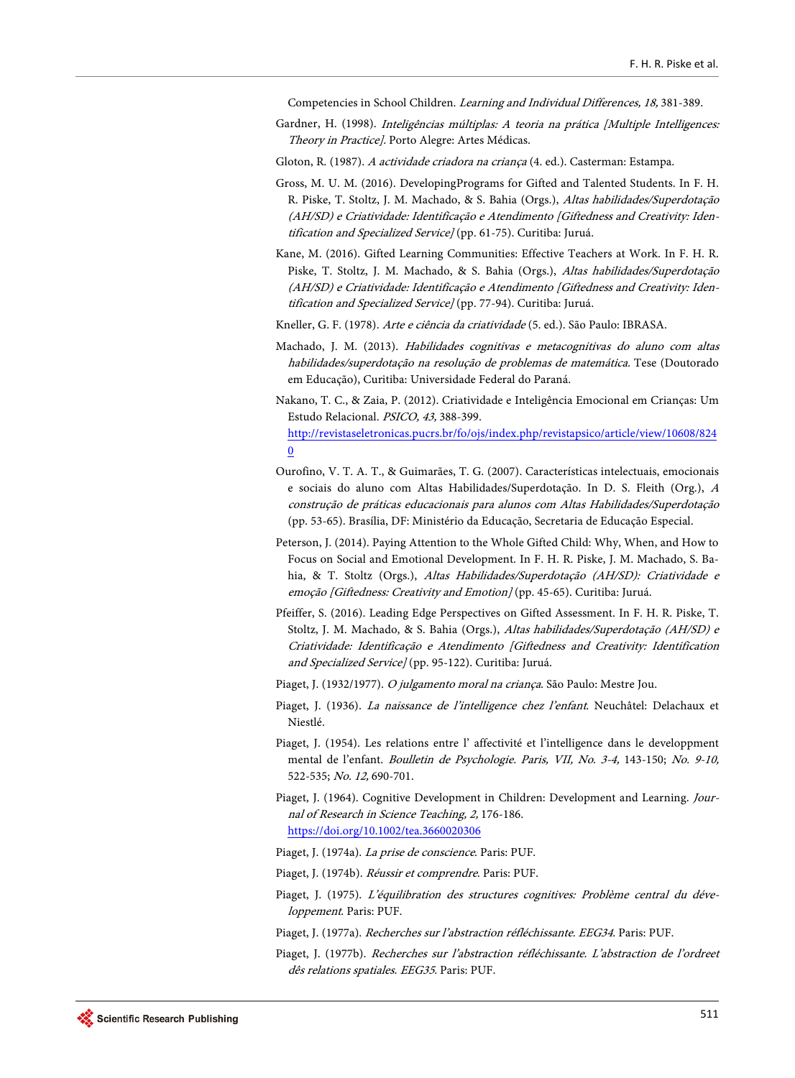Competencies in School Children. Learning and Individual Differences, 18, 381-389.

- <span id="page-6-11"></span>Gardner, H. (1998). Inteligências múltiplas: A teoria na prática [Multiple Intelligences: Theory in Practice]. Porto Alegre: Artes Médicas.
- Gloton, R. (1987). A actividade criadora na criança (4. ed.). Casterman: Estampa.
- <span id="page-6-7"></span><span id="page-6-5"></span>Gross, M. U. M. (2016). DevelopingPrograms for Gifted and Talented Students. In F. H. R. Piske, T. Stoltz, J. M. Machado, & S. Bahia (Orgs.), Altas habilidades/Superdotação (AH/SD) e Criatividade: Identificação e Atendimento [Giftedness and Creativity: Identification and Specialized Service] (pp. 61-75). Curitiba: Juruá.
- <span id="page-6-4"></span>Kane, M. (2016). Gifted Learning Communities: Effective Teachers at Work. In F. H. R. Piske, T. Stoltz, J. M. Machado, & S. Bahia (Orgs.), Altas habilidades/Superdotação (AH/SD) e Criatividade: Identificação e Atendimento [Giftedness and Creativity: Identification and Specialized Service] (pp. 77-94). Curitiba: Juruá.
- Kneller, G. F. (1978). Arte e ciência da criatividade (5. ed.). São Paulo: IBRASA.
- <span id="page-6-6"></span><span id="page-6-0"></span>Machado, J. M. (2013). Habilidades cognitivas e metacognitivas do aluno com altas habilidades/superdotação na resolução de problemas de matemática. Tese (Doutorado em Educação), Curitiba: Universidade Federal do Paraná.
- <span id="page-6-8"></span>Nakano, T. C., & Zaia, P. (2012). Criatividade e Inteligência Emocional em Crianças: Um Estudo Relacional. PSICO, 43, 388-399. [http://revistaseletronicas.pucrs.br/fo/ojs/index.php/revistapsico/article/view/10608/824](http://revistaseletronicas.pucrs.br/fo/ojs/index.php/revistapsico/article/view/10608/8240) [0](http://revistaseletronicas.pucrs.br/fo/ojs/index.php/revistapsico/article/view/10608/8240)
- <span id="page-6-1"></span>Ourofino, V. T. A. T., & Guimarães, T. G. (2007). Características intelectuais, emocionais e sociais do aluno com Altas Habilidades/Superdotação. In D. S. Fleith (Org.), <sup>A</sup> construção de práticas educacionais para alunos com Altas Habilidades/Superdotação (pp. 53-65). Brasília, DF: Ministério da Educação, Secretaria de Educação Especial.
- <span id="page-6-2"></span>Peterson, J. (2014). Paying Attention to the Whole Gifted Child: Why, When, and How to Focus on Social and Emotional Development. In F. H. R. Piske, J. M. Machado, S. Bahia, & T. Stoltz (Orgs.), Altas Habilidades/Superdotação (AH/SD): Criatividade e emoção [Giftedness: Creativity and Emotion] (pp. 45-65). Curitiba: Juruá.
- <span id="page-6-3"></span>Pfeiffer, S. (2016). Leading Edge Perspectives on Gifted Assessment. In F. H. R. Piske, T. Stoltz, J. M. Machado, & S. Bahia (Orgs.), Altas habilidades/Superdotação (AH/SD) e Criatividade: Identificação e Atendimento [Giftedness and Creativity: Identification and Specialized Service] (pp. 95-122). Curitiba: Juruá.
- <span id="page-6-9"></span>Piaget, J. (1932/1977). O julgamento moral na criança. São Paulo: Mestre Jou.
- Piaget, J. (1936). *La naissance de l'intelligence chez l'enfant*. Neuchâtel: Delachaux et Niestlé.
- <span id="page-6-12"></span>Piaget, J. (1954). Les relations entre l' affectivité et l'intelligence dans le developpment mental de l'enfant. Boulletin de Psychologie. Paris, VII, No. 3-4, 143-150; No. 9-10, 522-535; No. 12, 690-701.
- Piaget, J. (1964). Cognitive Development in Children: Development and Learning. Journal of Research in Science Teaching, 2, 176-186. <https://doi.org/10.1002/tea.3660020306>
- Piaget, J. (1974a). La prise de conscience. Paris: PUF.
- <span id="page-6-10"></span>Piaget, J. (1974b). Réussir et comprendre. Paris: PUF.
- Piaget, J. (1975). L'équilibration des structures cognitives: Problème central du développement. Paris: PUF.
- Piaget, J. (1977a). Recherches sur l'abstraction réfléchissante. EEG34. Paris: PUF.
- Piaget, J. (1977b). Recherches sur l'abstraction réfléchissante. L'abstraction de l'ordreet dês relations spatiales. EEG35. Paris: PUF.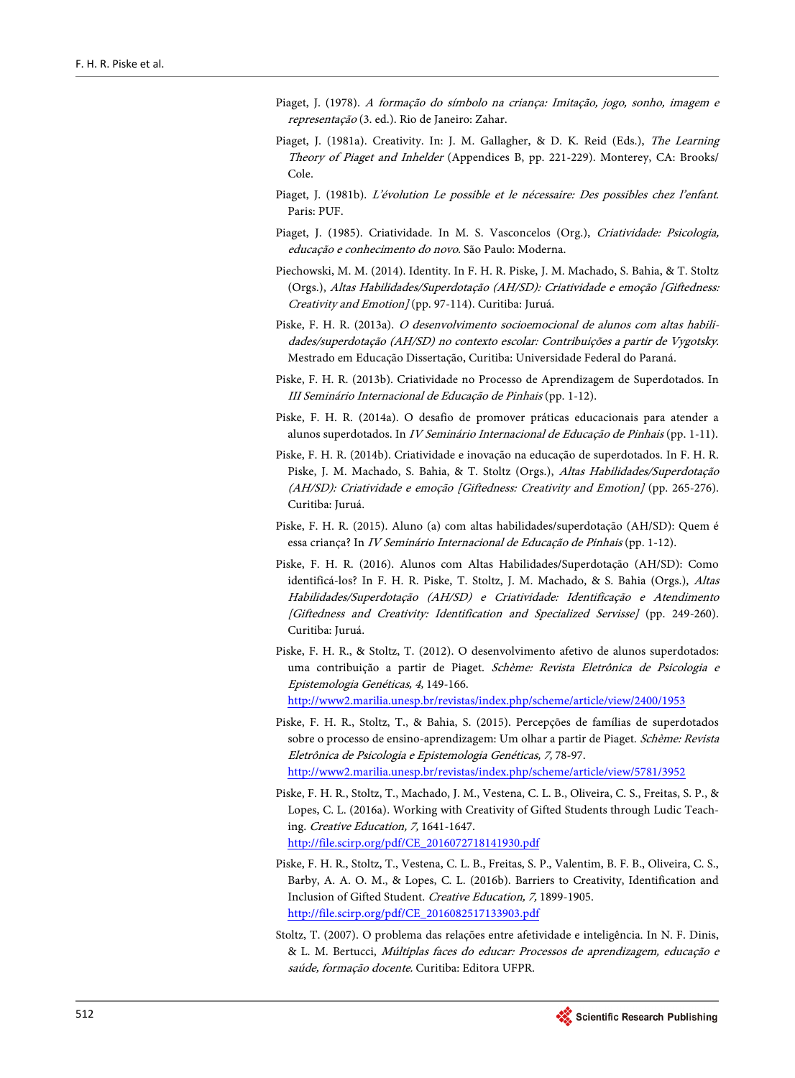- Piaget, J. (1978). A formação do símbolo na criança: Imitação, jogo, sonho, imagem e representação (3. ed.). Rio de Janeiro: Zahar.
- <span id="page-7-7"></span>Piaget, J. (1981a). Creativity. In: J. M. Gallagher, & D. K. Reid (Eds.), The Learning Theory of Piaget and Inhelder (Appendices B, pp. 221-229). Monterey, CA: Brooks/ Cole.
- Piaget, J. (1981b). L'évolution Le possible et le nécessaire: Des possibles chez l'enfant. Paris: PUF.
- Piaget, J. (1985). Criatividade. In M. S. Vasconcelos (Org.), Criatividade: Psicologia, educação e conhecimento do novo. São Paulo: Moderna.
- <span id="page-7-2"></span>Piechowski, M. M. (2014). Identity. In F. H. R. Piske, J. M. Machado, S. Bahia, & T. Stoltz (Orgs.), Altas Habilidades/Superdotação (AH/SD): Criatividade e emoção [Giftedness: Creativity and Emotion] (pp. 97-114). Curitiba: Juruá.
- <span id="page-7-0"></span>Piske, F. H. R. (2013a). O desenvolvimento socioemocional de alunos com altas habilidades/superdotação (AH/SD) no contexto escolar: Contribuições a partir de Vygotsky. Mestrado em Educação Dissertação, Curitiba: Universidade Federal do Paraná.
- Piske, F. H. R. (2013b). Criatividade no Processo de Aprendizagem de Superdotados. In III Seminário Internacional de Educação de Pinhais (pp. 1-12).
- Piske, F. H. R. (2014a). O desafio de promover práticas educacionais para atender a alunos superdotados. In IV Seminário Internacional de Educação de Pinhais (pp. 1-11).
- Piske, F. H. R. (2014b). Criatividade e inovação na educação de superdotados. In F. H. R. Piske, J. M. Machado, S. Bahia, & T. Stoltz (Orgs.), Altas Habilidades/Superdotação (AH/SD): Criatividade e emoção [Giftedness: Creativity and Emotion] (pp. 265-276). Curitiba: Juruá.
- <span id="page-7-4"></span>Piske, F. H. R. (2015). Aluno (a) com altas habilidades/superdotação (AH/SD): Quem é essa criança? In IV Seminário Internacional de Educação de Pinhais (pp. 1-12).
- <span id="page-7-8"></span>Piske, F. H. R. (2016). Alunos com Altas Habilidades/Superdotação (AH/SD): Como identificá-los? In F. H. R. Piske, T. Stoltz, J. M. Machado, & S. Bahia (Orgs.), Altas Habilidades/Superdotação (AH/SD) e Criatividade: Identificação e Atendimento [Giftedness and Creativity: Identification and Specialized Servisse] (pp. 249-260). Curitiba: Juruá.
- <span id="page-7-6"></span>Piske, F. H. R., & Stoltz, T. (2012). O desenvolvimento afetivo de alunos superdotados: uma contribuição a partir de Piaget. Schème: Revista Eletrônica de Psicologia e Epistemologia Genéticas, 4, 149-166. <http://www2.marilia.unesp.br/revistas/index.php/scheme/article/view/2400/1953>
- <span id="page-7-1"></span>Piske, F. H. R., Stoltz, T., & Bahia, S. (2015). Percepções de famílias de superdotados sobre o processo de ensino-aprendizagem: Um olhar a partir de Piaget. Schème: Revista Eletrônica de Psicologia e Epistemologia Genéticas, 7, 78-97. <http://www2.marilia.unesp.br/revistas/index.php/scheme/article/view/5781/3952>
- <span id="page-7-3"></span>Piske, F. H. R., Stoltz, T., Machado, J. M., Vestena, C. L. B., Oliveira, C. S., Freitas, S. P., & Lopes, C. L. (2016a). Working with Creativity of Gifted Students through Ludic Teaching. Creative Education, 7, 1641-1647. [http://file.scirp.org/pdf/CE\\_2016072718141930.pdf](http://file.scirp.org/pdf/CE_2016072718141930.pdf)
- Piske, F. H. R., Stoltz, T., Vestena, C. L. B., Freitas, S. P., Valentim, B. F. B., Oliveira, C. S., Barby, A. A. O. M., & Lopes, C. L. (2016b). Barriers to Creativity, Identification and Inclusion of Gifted Student. Creative Education, 7, 1899-1905. [http://file.scirp.org/pdf/CE\\_2016082517133903.pdf](http://file.scirp.org/pdf/CE_2016082517133903.pdf)
- <span id="page-7-5"></span>Stoltz, T. (2007). O problema das relações entre afetividade e inteligência. In N. F. Dinis, & L. M. Bertucci, Múltiplas faces do educar: Processos de aprendizagem, educação e saúde, formação docente. Curitiba: Editora UFPR.